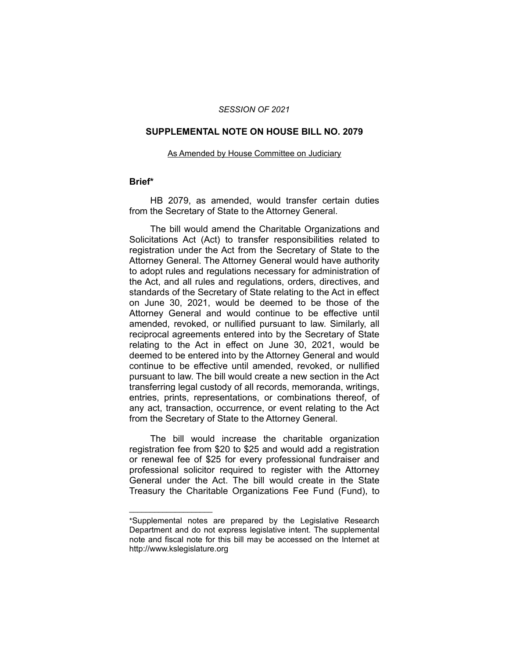#### *SESSION OF 2021*

#### **SUPPLEMENTAL NOTE ON HOUSE BILL NO. 2079**

#### As Amended by House Committee on Judiciary

### **Brief\***

HB 2079, as amended, would transfer certain duties from the Secretary of State to the Attorney General.

The bill would amend the Charitable Organizations and Solicitations Act (Act) to transfer responsibilities related to registration under the Act from the Secretary of State to the Attorney General. The Attorney General would have authority to adopt rules and regulations necessary for administration of the Act, and all rules and regulations, orders, directives, and standards of the Secretary of State relating to the Act in effect on June 30, 2021, would be deemed to be those of the Attorney General and would continue to be effective until amended, revoked, or nullified pursuant to law. Similarly, all reciprocal agreements entered into by the Secretary of State relating to the Act in effect on June 30, 2021, would be deemed to be entered into by the Attorney General and would continue to be effective until amended, revoked, or nullified pursuant to law. The bill would create a new section in the Act transferring legal custody of all records, memoranda, writings, entries, prints, representations, or combinations thereof, of any act, transaction, occurrence, or event relating to the Act from the Secretary of State to the Attorney General.

The bill would increase the charitable organization registration fee from \$20 to \$25 and would add a registration or renewal fee of \$25 for every professional fundraiser and professional solicitor required to register with the Attorney General under the Act. The bill would create in the State Treasury the Charitable Organizations Fee Fund (Fund), to

 $\overline{\phantom{a}}$  , where  $\overline{\phantom{a}}$  , where  $\overline{\phantom{a}}$ 

<sup>\*</sup>Supplemental notes are prepared by the Legislative Research Department and do not express legislative intent. The supplemental note and fiscal note for this bill may be accessed on the Internet at http://www.kslegislature.org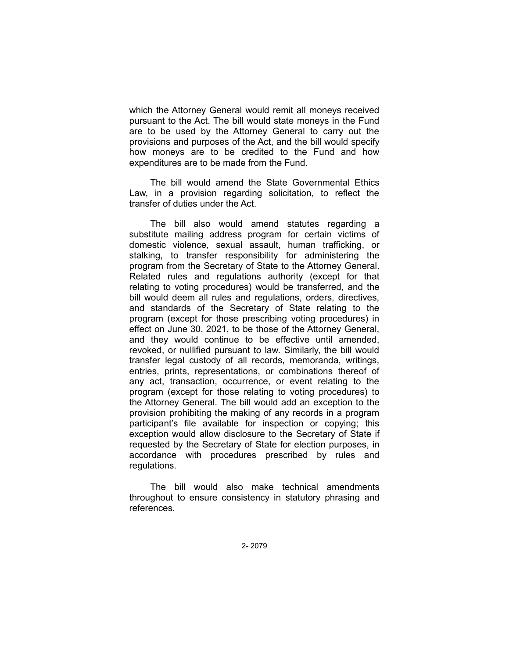which the Attorney General would remit all moneys received pursuant to the Act. The bill would state moneys in the Fund are to be used by the Attorney General to carry out the provisions and purposes of the Act, and the bill would specify how moneys are to be credited to the Fund and how expenditures are to be made from the Fund.

The bill would amend the State Governmental Ethics Law, in a provision regarding solicitation, to reflect the transfer of duties under the Act.

The bill also would amend statutes regarding a substitute mailing address program for certain victims of domestic violence, sexual assault, human trafficking, or stalking, to transfer responsibility for administering the program from the Secretary of State to the Attorney General. Related rules and regulations authority (except for that relating to voting procedures) would be transferred, and the bill would deem all rules and regulations, orders, directives, and standards of the Secretary of State relating to the program (except for those prescribing voting procedures) in effect on June 30, 2021, to be those of the Attorney General, and they would continue to be effective until amended, revoked, or nullified pursuant to law. Similarly, the bill would transfer legal custody of all records, memoranda, writings, entries, prints, representations, or combinations thereof of any act, transaction, occurrence, or event relating to the program (except for those relating to voting procedures) to the Attorney General. The bill would add an exception to the provision prohibiting the making of any records in a program participant's file available for inspection or copying; this exception would allow disclosure to the Secretary of State if requested by the Secretary of State for election purposes, in accordance with procedures prescribed by rules and regulations.

The bill would also make technical amendments throughout to ensure consistency in statutory phrasing and references.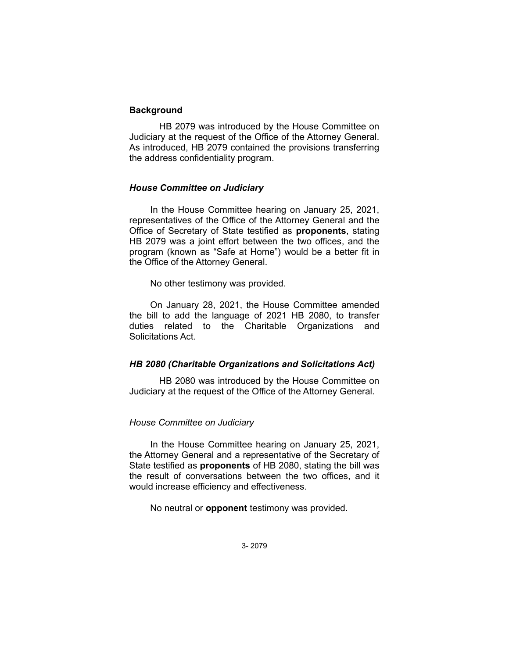# **Background**

HB 2079 was introduced by the House Committee on Judiciary at the request of the Office of the Attorney General. As introduced, HB 2079 contained the provisions transferring the address confidentiality program.

# *House Committee on Judiciary*

In the House Committee hearing on January 25, 2021, representatives of the Office of the Attorney General and the Office of Secretary of State testified as **proponents**, stating HB 2079 was a joint effort between the two offices, and the program (known as "Safe at Home") would be a better fit in the Office of the Attorney General.

No other testimony was provided.

On January 28, 2021, the House Committee amended the bill to add the language of 2021 HB 2080, to transfer duties related to the Charitable Organizations and Solicitations Act.

### *HB 2080 (Charitable Organizations and Solicitations Act)*

HB 2080 was introduced by the House Committee on Judiciary at the request of the Office of the Attorney General.

### *House Committee on Judiciary*

In the House Committee hearing on January 25, 2021, the Attorney General and a representative of the Secretary of State testified as **proponents** of HB 2080, stating the bill was the result of conversations between the two offices, and it would increase efficiency and effectiveness.

No neutral or **opponent** testimony was provided.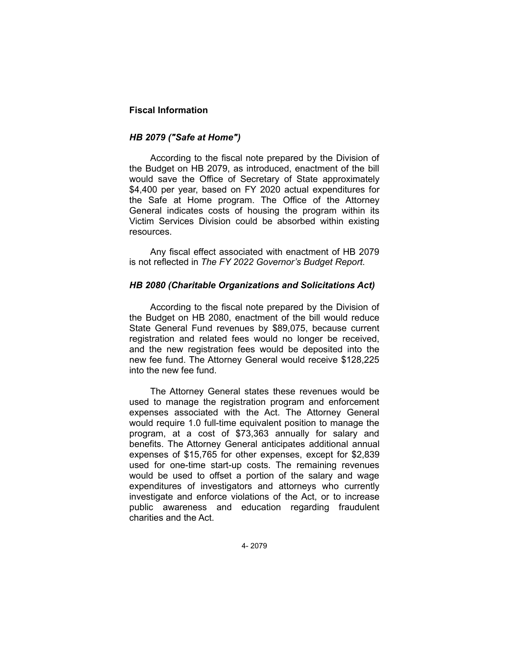# **Fiscal Information**

# *HB 2079 ("Safe at Home")*

According to the fiscal note prepared by the Division of the Budget on HB 2079, as introduced, enactment of the bill would save the Office of Secretary of State approximately \$4,400 per year, based on FY 2020 actual expenditures for the Safe at Home program. The Office of the Attorney General indicates costs of housing the program within its Victim Services Division could be absorbed within existing resources.

Any fiscal effect associated with enactment of HB 2079 is not reflected in *The FY 2022 Governor's Budget Report*.

# *HB 2080 (Charitable Organizations and Solicitations Act)*

According to the fiscal note prepared by the Division of the Budget on HB 2080, enactment of the bill would reduce State General Fund revenues by \$89,075, because current registration and related fees would no longer be received, and the new registration fees would be deposited into the new fee fund. The Attorney General would receive \$128,225 into the new fee fund.

The Attorney General states these revenues would be used to manage the registration program and enforcement expenses associated with the Act. The Attorney General would require 1.0 full-time equivalent position to manage the program, at a cost of \$73,363 annually for salary and benefits. The Attorney General anticipates additional annual expenses of \$15,765 for other expenses, except for \$2,839 used for one-time start-up costs. The remaining revenues would be used to offset a portion of the salary and wage expenditures of investigators and attorneys who currently investigate and enforce violations of the Act, or to increase public awareness and education regarding fraudulent charities and the Act.